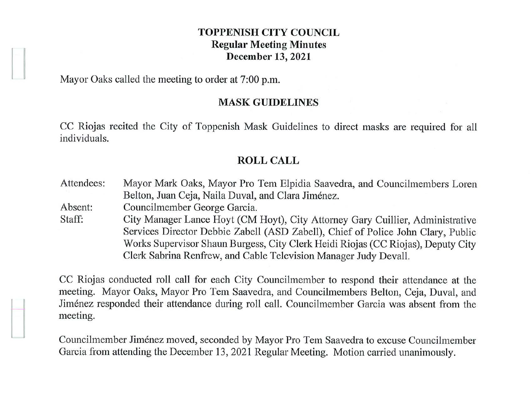### **TOPPENISH CITY COUNCIL Regular Meeting Minutes December 13, 2021**

Mayor Oaks called the meeting to order at 7:00 p.m.

#### **MASK GUIDELINES**

CC Riojas recited the City of Toppenish Mask Guidelines to direct masks are required for all individuals.

#### **ROLL CALL**

Attendees: Absent: Staff: Mayor Mark Oaks, Mayor Pro Tem Elpidia Saavedra, and Councilmembers Loren Belton, Juan Ceja, Naila Duval, and Clara Jiménez. Councilmember George Garcia. City Manager Lance Hoyt (CM Hoyt), City Attorney Gary Cuillier, Administrative

Services Director Debbie Zabell (ASD Zabell), Chief of Police John Clary, Public Works Supervisor Shaun Burgess, City Clerk Heidi Riojas (CC Riojas), Deputy City Clerk Sabrina Renfrew, and Cable Television Manager Judy Devall.

CC Riojas conducted roll call for each City Councilmember to respond their attendance at the meeting. Mayor Oaks, Mayor Pro Tem Saavedra, and Councilmembers Belton, Ceja, Duval, and Jimenez responded their attendance during roll call. Councilmember Garcia was absent from the meeting.

Councilmember Jimenez moved, seconded by Mayor Pro Tem Saavedra to excuse Councilmember Garcia from attending the December 13, 2021 Regular Meeting. Motion carried unanimously.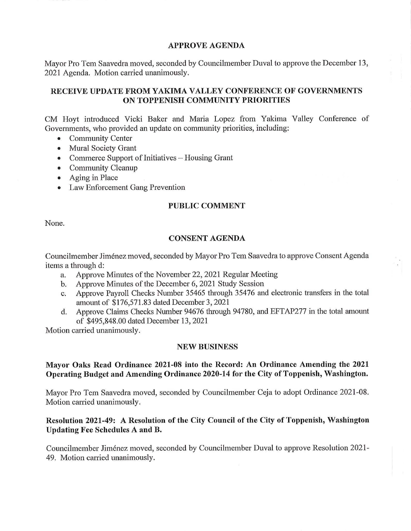#### **APPROVE AGENDA**

Mayor Pro Tem Saavedra moved, seconded by Councilmember Duval to approve the December 13, 2021 Agenda. Motion carried unanimously.

## **RECEIVE UPDATE FROM YAKIMA VALLEY CONFERENCE OF GOVERNMENTS ON TOPPENISH COMMUNITY PRIORITIES**

CM Hoyt introduced Vicki Baker and Maria Lopez from Yakima Valley Conference of Governments, who provided an update on community priorities, including:

- Community Center
- Mural Society Grant
- Commerce Support of Initiatives  $-$  Housing Grant
- Community Cleanup
- Aging in Place
- Law Enforcement Gang Prevention

#### **PUBLIC COMMENT**

None.

#### **CONSENT AGENDA**

Councilmember Jimenez moved, seconded by Mayor Pro Tem Saavedra to approve Consent Agenda items a through d:

- a. Approve Minutes of the November 22, 2021 Regular Meeting
- b. Approve Minutes of the December 6, 2021 Study Session
- c. Approve Payroll Checks Number 35465 through 35476 and electronic transfers in the total amount of \$176,571.83 dated December 3, 2021
- d. Approve Claims Checks Number 94676 through 94780, and EFTAP277 in the total amount of \$495,848.00 dated December 13, 2021

Motion carried unanimously.

#### **NEW BUSINESS**

#### **Mayor Oaks Read Ordinance 2021-08 into the Record: An Ordinance Amending the 2021 Operating Budget and Amending Ordinance 2020-14 for the City of Toppenish, Washington.**

Mayor Pro Tem Saavedra moved, seconded by Councilmember Ceja to adopt Ordinance 2021-08. Motion carried unanimously.

### **Resolution 2021-49: A Resolution of the City Council of the City of Toppenish, Washington Updating Fee Schedules A and B.**

Councilmember Jimenez moved, seconded by Councilmember Duval to approve Resolution 2021 - 49. Motion carried unanimously.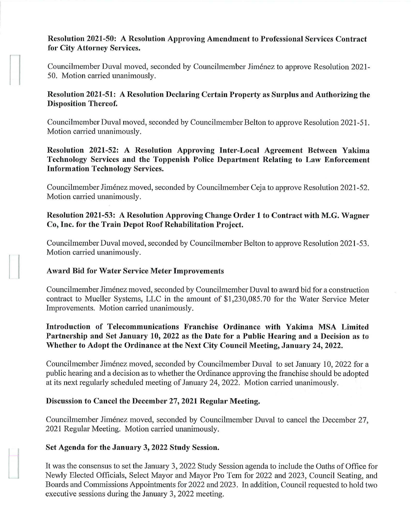## **Resolution 2021-50: A Resolution Approving Amendment to Professional Services Contract for City Attorney Services.**

Councilmember Duval moved, seconded by Councilmember Jimenez to approve Resolution 2021- 50. Motion carried unanimously.

## **Resolution 2021-51: A Resolution Declaring Certain Property as Surplus and Authorizing the Disposition Thereof.**

Councilmember Duval moved, seconded by Councilmember Belton to approve Resolution 2021-51. Motion carried unanimously.

# **Resolution 2021-52: A Resolution Approving Inter-Local Agreement Between Yakima Technology Services and the Toppenish Police Department Relating to Law Enforcement Information Technology Services.**

Councilmember Jimenez moved, seconded by Councilmember Ceja to approve Resolution 2021-52. Motion carried unanimously.

# **Resolution 2021-53: A Resolution Approving Change Order 1 to Contract with M.G. Wagner Co, Inc. for the Train Depot Roof Rehabilitation Project.**

Councilmember Duval moved, seconded by Councilmember Belton to approve Resolution 2021-53. Motion carried unanimously.

# **Award Bid for Water Service Meter Improvements**

 $\begin{bmatrix} \phantom{-} \\ \phantom{-} \end{bmatrix}$ 

Councilmember Jimenez moved, seconded by Councilmember Duval to award bid for a construction contract to Mueller Systems, LLC in the amount of \$1,230,085.70 for the Water Service Meter Improvements. Motion carried unanimously.

# **Introduction of Telecommunications Franchise Ordinance with Yakima MSA Limited Partnership and Set January 10, 2022 as the Date for a Public Hearing and a Decision as to Whether to Adopt the Ordinance at the Next City Council Meeting, January 24, 2022.**

Councilmember Jimenez moved, seconded by Councilmember Duval to set January 10, 2022 for a public hearing and a decision as to whether the Ordinance approving the franchise should be adopted at its next regularly scheduled meeting of January 24, 2022. Motion carried unanimously.

# **Discussion to Cancel the December 27, 2021 Regular Meeting.**

Councilmember Jiménez moved, seconded by Councilmember Duval to cancel the December 27, 2021 Regular Meeting. Motion carried unanimously.

# **Set Agenda for the January 3, 2022 Study Session.**

It was the consensus to set the January 3, 2022 Study Session agenda to include the Oaths of Office for Newly Elected Officials, Select Mayor and Mayor Pro Tem for 2022 and 2023, Council Seating, and Boards and Commissions Appointments for 2022 and 2023. In addition, Council requested to hold two executive sessions during the January 3, 2022 meeting.